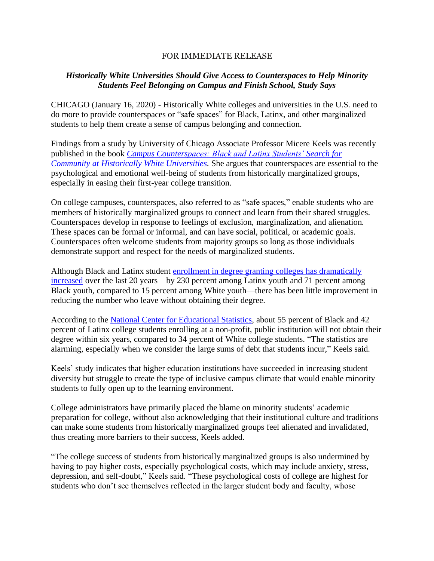## FOR IMMEDIATE RELEASE

## *Historically White Universities Should Give Access to Counterspaces to Help Minority Students Feel Belonging on Campus and Finish School, Study Says*

CHICAGO (January 16, 2020) - Historically White colleges and universities in the U.S. need to do more to provide counterspaces or "safe spaces" for Black, Latinx, and other marginalized students to help them create a sense of campus belonging and connection.

Findings from a study by University of Chicago Associate Professor Micere Keels was recently published in the book *[Campus Counterspaces: Black and Latinx Students' Search for](https://www.campus-counterspaces.com/)  [Community at Historically White Universities](https://www.campus-counterspaces.com/)*. She argues that counterspaces are essential to the psychological and emotional well-being of students from historically marginalized groups, especially in easing their first-year college transition.

On college campuses, counterspaces, also referred to as "safe spaces," enable students who are members of historically marginalized groups to connect and learn from their shared struggles. Counterspaces develop in response to feelings of exclusion, marginalization, and alienation. These spaces can be formal or informal, and can have social, political, or academic goals. Counterspaces often welcome students from majority groups so long as those individuals demonstrate support and respect for the needs of marginalized students.

Although Black and Latinx student enrollment [in degree granting colleges has dramatically](https://nces.ed.gov/programs/digest/d18/tables/dt18_306.20.asp?current=yes) [increased](https://nces.ed.gov/programs/digest/d18/tables/dt18_306.20.asp?current=yes) over the last 20 years—by 230 percent among Latinx youth and 71 percent among Black youth, compared to 15 percent among White youth—there has been little improvement in reducing the number who leave without obtaining their degree.

According to the [National Center for Educational Statistics,](https://nces.ed.gov/programs/digest/d18/tables/dt18_326.10.asp?current=yes) about 55 percent of Black and 42 percent of Latinx college students enrolling at a non-profit, public institution will not obtain their degree within six years, compared to 34 percent of White college students. "The statistics are alarming, especially when we consider the large sums of debt that students incur," Keels said.

Keels' study indicates that higher education institutions have succeeded in increasing student diversity but struggle to create the type of inclusive campus climate that would enable minority students to fully open up to the learning environment.

College administrators have primarily placed the blame on minority students' academic preparation for college, without also acknowledging that their institutional culture and traditions can make some students from historically marginalized groups feel alienated and invalidated, thus creating more barriers to their success, Keels added.

"The college success of students from historically marginalized groups is also undermined by having to pay higher costs, especially psychological costs, which may include anxiety, stress, depression, and self-doubt," Keels said. "These psychological costs of college are highest for students who don't see themselves reflected in the larger student body and faculty, whose